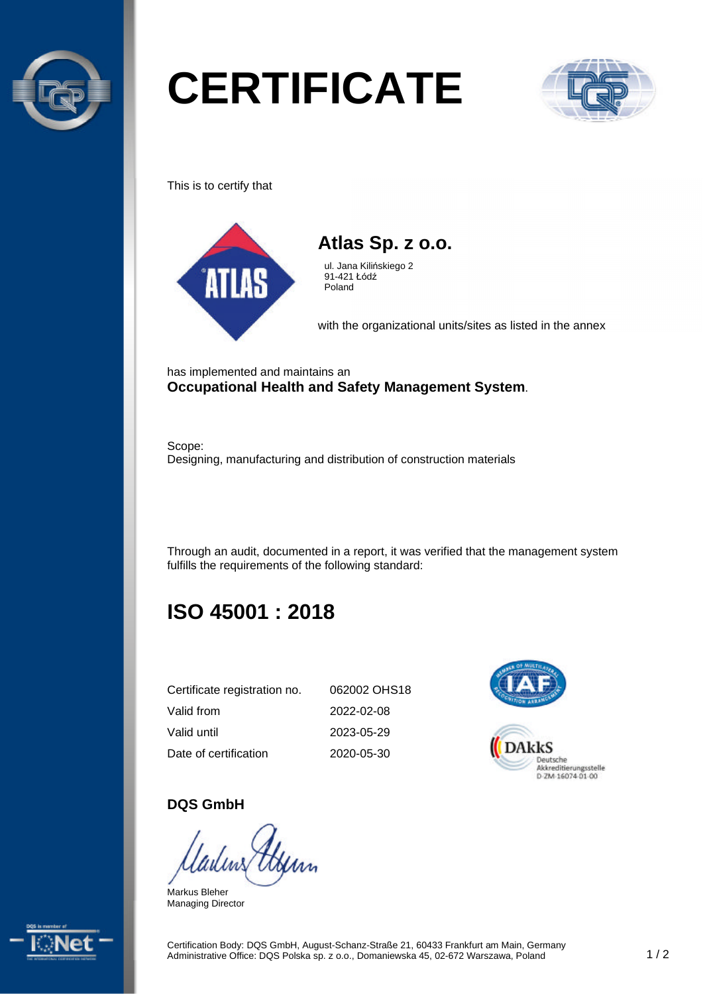

# **CERTIFICATE**



This is to certify that





ul. Jana Kilińskiego 2 91-421 Łódź Poland

with the organizational units/sites as listed in the annex

has implemented and maintains an **Occupational Health and Safety Management System**.

Scope: Designing, manufacturing and distribution of construction materials

Through an audit, documented in a report, it was verified that the management system fulfills the requirements of the following standard:

## **ISO 45001 : 2018**

| Certificate registration no. | 062002 OHS18 |
|------------------------------|--------------|
| Valid from                   | 2022-02-08   |
| Valid until                  | 2023-05-29   |
| Date of certification        | 2020-05-30   |



DAkkS Deutsche

#### **DQS GmbH**

Markus Bleher Managing Director